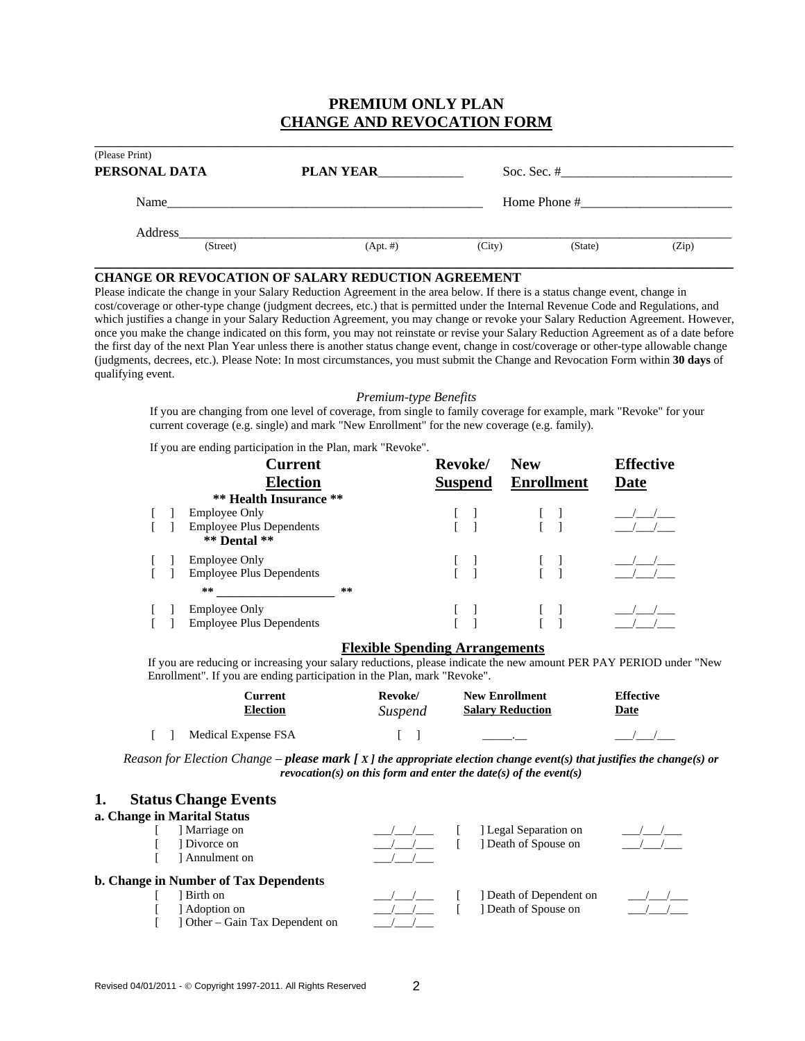# **PREMIUM ONLY PLAN CHANGE AND REVOCATION FORM**

| (Please Print)<br>PERSONAL DATA | <b>PLAN YEAR</b> |              | Soc. Sec. $#$ |       |
|---------------------------------|------------------|--------------|---------------|-------|
| Name                            |                  | Home Phone # |               |       |
| Address<br>(Street)             | $(Apt. \#)$      | (City)       | (State)       | (Zip) |

### **CHANGE OR REVOCATION OF SALARY REDUCTION AGREEMENT**

Please indicate the change in your Salary Reduction Agreement in the area below. If there is a status change event, change in cost/coverage or other-type change (judgment decrees, etc.) that is permitted under the Internal Revenue Code and Regulations, and which justifies a change in your Salary Reduction Agreement, you may change or revoke your Salary Reduction Agreement. However, once you make the change indicated on this form, you may not reinstate or revise your Salary Reduction Agreement as of a date before the first day of the next Plan Year unless there is another status change event, change in cost/coverage or other-type allowable change (judgments, decrees, etc.). Please Note: In most circumstances, you must submit the Change and Revocation Form within **30 days** of qualifying event.

### *Premium-type Benefits*

If you are changing from one level of coverage, from single to family coverage for example, mark "Revoke" for your current coverage (e.g. single) and mark "New Enrollment" for the new coverage (e.g. family).

If you are ending participation in the Plan, mark "Revoke".

|  | <b>Current</b>                                      |    | Revoke/        | <b>New</b>        | <b>Effective</b> |
|--|-----------------------------------------------------|----|----------------|-------------------|------------------|
|  | <b>Election</b>                                     |    | <b>Suspend</b> | <b>Enrollment</b> | <b>Date</b>      |
|  | <b>** Health Insurance **</b>                       |    |                |                   |                  |
|  | <b>Employee Only</b>                                |    |                |                   |                  |
|  | <b>Employee Plus Dependents</b><br>$**$ Dental $**$ |    |                |                   |                  |
|  | <b>Employee Only</b>                                |    |                |                   |                  |
|  | <b>Employee Plus Dependents</b>                     |    |                |                   |                  |
|  | **                                                  | ** |                |                   |                  |
|  | <b>Employee Only</b>                                |    |                |                   |                  |
|  | <b>Employee Plus Dependents</b>                     |    |                |                   |                  |

#### **Flexible Spending Arrangements**

If you are reducing or increasing your salary reductions, please indicate the new amount PER PAY PERIOD under "New Enrollment". If you are ending participation in the Plan, mark "Revoke".

| Current             | Revoke/ | <b>New Enrollment</b>   | <b>Effective</b> |
|---------------------|---------|-------------------------|------------------|
| <b>Election</b>     | Suspend | <b>Salary Reduction</b> | <u>Date</u>      |
| Medical Expense FSA |         |                         |                  |

*Reason for Election Change – please mark [ X ] the appropriate election change event(s) that justifies the change(s) or revocation(s) on this form and enter the date(s) of the event(s)*

| <b>Status Change Events</b><br>1.            |  |  |                       |  |  |  |  |
|----------------------------------------------|--|--|-----------------------|--|--|--|--|
| a. Change in Marital Status                  |  |  |                       |  |  |  |  |
| Marriage on                                  |  |  | Legal Separation on   |  |  |  |  |
| l Divorce on                                 |  |  | Death of Spouse on    |  |  |  |  |
| Annulment on                                 |  |  |                       |  |  |  |  |
| <b>b. Change in Number of Tax Dependents</b> |  |  |                       |  |  |  |  |
| Birth on                                     |  |  | Death of Dependent on |  |  |  |  |
| Adoption on                                  |  |  | Death of Spouse on    |  |  |  |  |

 $[$  ] Other – Gain Tax Dependent on  $\frac{1}{\sqrt{2}}$